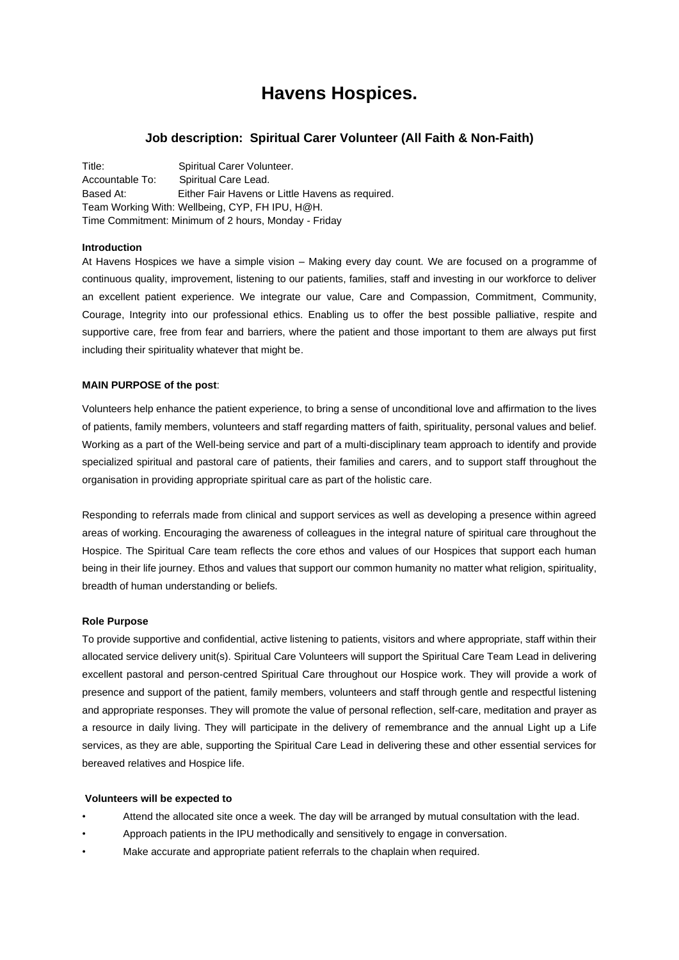# **Havens Hospices.**

# **Job description: Spiritual Carer Volunteer (All Faith & Non-Faith)**

Title: Spiritual Carer Volunteer. Accountable To: Spiritual Care Lead. Based At: Either Fair Havens or Little Havens as required. Team Working With: Wellbeing, CYP, FH IPU, H@H. Time Commitment: Minimum of 2 hours, Monday - Friday

#### **Introduction**

At Havens Hospices we have a simple vision – Making every day count. We are focused on a programme of continuous quality, improvement, listening to our patients, families, staff and investing in our workforce to deliver an excellent patient experience. We integrate our value, Care and Compassion, Commitment, Community, Courage, Integrity into our professional ethics. Enabling us to offer the best possible palliative, respite and supportive care, free from fear and barriers, where the patient and those important to them are always put first including their spirituality whatever that might be.

## **MAIN PURPOSE of the post**:

Volunteers help enhance the patient experience, to bring a sense of unconditional love and affirmation to the lives of patients, family members, volunteers and staff regarding matters of faith, spirituality, personal values and belief. Working as a part of the Well-being service and part of a multi-disciplinary team approach to identify and provide specialized spiritual and pastoral care of patients, their families and carers, and to support staff throughout the organisation in providing appropriate spiritual care as part of the holistic care.

Responding to referrals made from clinical and support services as well as developing a presence within agreed areas of working. Encouraging the awareness of colleagues in the integral nature of spiritual care throughout the Hospice. The Spiritual Care team reflects the core ethos and values of our Hospices that support each human being in their life journey. Ethos and values that support our common humanity no matter what religion, spirituality, breadth of human understanding or beliefs.

#### **Role Purpose**

To provide supportive and confidential, active listening to patients, visitors and where appropriate, staff within their allocated service delivery unit(s). Spiritual Care Volunteers will support the Spiritual Care Team Lead in delivering excellent pastoral and person-centred Spiritual Care throughout our Hospice work. They will provide a work of presence and support of the patient, family members, volunteers and staff through gentle and respectful listening and appropriate responses. They will promote the value of personal reflection, self-care, meditation and prayer as a resource in daily living. They will participate in the delivery of remembrance and the annual Light up a Life services, as they are able, supporting the Spiritual Care Lead in delivering these and other essential services for bereaved relatives and Hospice life.

#### **Volunteers will be expected to**

- Attend the allocated site once a week. The day will be arranged by mutual consultation with the lead.
- Approach patients in the IPU methodically and sensitively to engage in conversation.
- Make accurate and appropriate patient referrals to the chaplain when required.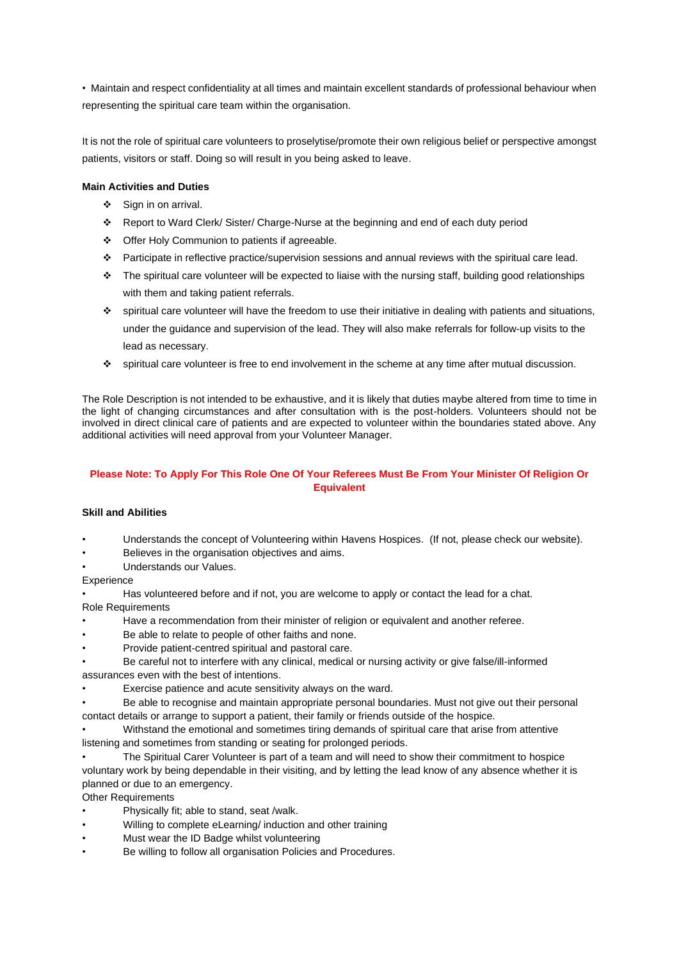• Maintain and respect confidentiality at all times and maintain excellent standards of professional behaviour when representing the spiritual care team within the organisation.

It is not the role of spiritual care volunteers to proselytise/promote their own religious belief or perspective amongst patients, visitors or staff. Doing so will result in you being asked to leave.

## **Main Activities and Duties**

- ❖ Sign in on arrival.
- ❖ Report to Ward Clerk/ Sister/ Charge-Nurse at the beginning and end of each duty period
- ❖ Offer Holy Communion to patients if agreeable.
- ❖ Participate in reflective practice/supervision sessions and annual reviews with the spiritual care lead.
- ❖ The spiritual care volunteer will be expected to liaise with the nursing staff, building good relationships with them and taking patient referrals.
- ❖ spiritual care volunteer will have the freedom to use their initiative in dealing with patients and situations, under the guidance and supervision of the lead. They will also make referrals for follow-up visits to the lead as necessary.
- ❖ spiritual care volunteer is free to end involvement in the scheme at any time after mutual discussion.

The Role Description is not intended to be exhaustive, and it is likely that duties maybe altered from time to time in the light of changing circumstances and after consultation with is the post-holders. Volunteers should not be involved in direct clinical care of patients and are expected to volunteer within the boundaries stated above. Any additional activities will need approval from your Volunteer Manager.

# **Please Note: To Apply For This Role One Of Your Referees Must Be From Your Minister Of Religion Or Equivalent**

## **Skill and Abilities**

- Understands the concept of Volunteering within Havens Hospices. (If not, please check our website).
- Believes in the organisation objectives and aims.
- Understands our Values.

### **Experience**

• Has volunteered before and if not, you are welcome to apply or contact the lead for a chat.

Role Requirements

- Have a recommendation from their minister of religion or equivalent and another referee.
- Be able to relate to people of other faiths and none.
- Provide patient-centred spiritual and pastoral care.
- Be careful not to interfere with any clinical, medical or nursing activity or give false/ill-informed assurances even with the best of intentions.
- Exercise patience and acute sensitivity always on the ward.
- Be able to recognise and maintain appropriate personal boundaries. Must not give out their personal contact details or arrange to support a patient, their family or friends outside of the hospice.

• Withstand the emotional and sometimes tiring demands of spiritual care that arise from attentive listening and sometimes from standing or seating for prolonged periods.

- The Spiritual Carer Volunteer is part of a team and will need to show their commitment to hospice voluntary work by being dependable in their visiting, and by letting the lead know of any absence whether it is planned or due to an emergency.
- Other Requirements
- Physically fit; able to stand, seat /walk.
- Willing to complete eLearning/ induction and other training
- Must wear the ID Badge whilst volunteering
- Be willing to follow all organisation Policies and Procedures.